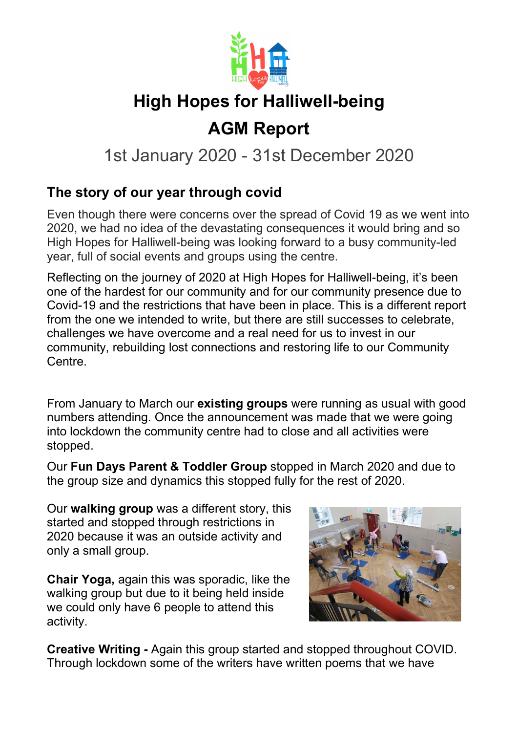

# AGM Report

## 1st January 2020 - 31st December 2020

### The story of our year through covid

Even though there were concerns over the spread of Covid 19 as we went into 2020, we had no idea of the devastating consequences it would bring and so High Hopes for Halliwell-being was looking forward to a busy community-led year, full of social events and groups using the centre.

Reflecting on the journey of 2020 at High Hopes for Halliwell-being, it's been one of the hardest for our community and for our community presence due to Covid-19 and the restrictions that have been in place. This is a different report from the one we intended to write, but there are still successes to celebrate, challenges we have overcome and a real need for us to invest in our community, rebuilding lost connections and restoring life to our Community Centre.

From January to March our existing groups were running as usual with good numbers attending. Once the announcement was made that we were going into lockdown the community centre had to close and all activities were stopped.

Our Fun Days Parent & Toddler Group stopped in March 2020 and due to the group size and dynamics this stopped fully for the rest of 2020.

Our walking group was a different story, this started and stopped through restrictions in 2020 because it was an outside activity and only a small group.

Chair Yoga, again this was sporadic, like the walking group but due to it being held inside we could only have 6 people to attend this activity.



Creative Writing - Again this group started and stopped throughout COVID. Through lockdown some of the writers have written poems that we have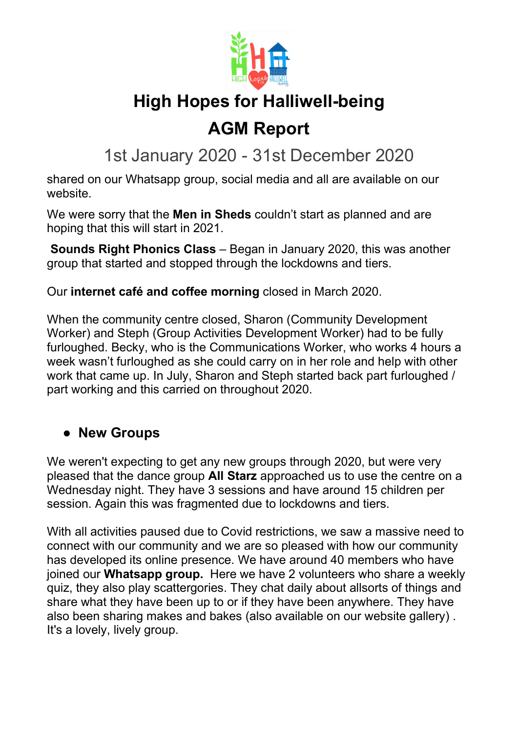

## AGM Report

1st January 2020 - 31st December 2020

shared on our Whatsapp group, social media and all are available on our website.

We were sorry that the **Men in Sheds** couldn't start as planned and are hoping that this will start in 2021.

Sounds Right Phonics Class – Began in January 2020, this was another group that started and stopped through the lockdowns and tiers.

Our internet café and coffee morning closed in March 2020.

When the community centre closed, Sharon (Community Development Worker) and Steph (Group Activities Development Worker) had to be fully furloughed. Becky, who is the Communications Worker, who works 4 hours a week wasn't furloughed as she could carry on in her role and help with other work that came up. In July, Sharon and Steph started back part furloughed / part working and this carried on throughout 2020.

### • New Groups

We weren't expecting to get any new groups through 2020, but were very pleased that the dance group All Starz approached us to use the centre on a Wednesday night. They have 3 sessions and have around 15 children per session. Again this was fragmented due to lockdowns and tiers.

With all activities paused due to Covid restrictions, we saw a massive need to connect with our community and we are so pleased with how our community has developed its online presence. We have around 40 members who have joined our **Whatsapp group.** Here we have 2 volunteers who share a weekly quiz, they also play scattergories. They chat daily about allsorts of things and share what they have been up to or if they have been anywhere. They have also been sharing makes and bakes (also available on our website gallery) . It's a lovely, lively group.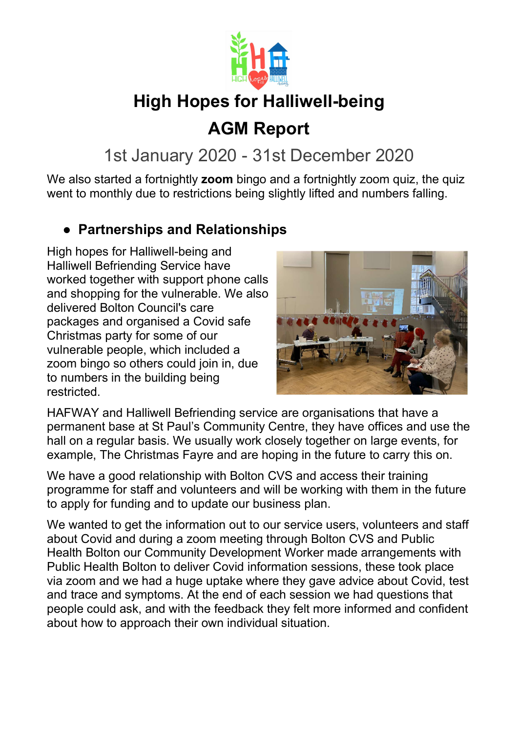

# AGM Report

## 1st January 2020 - 31st December 2020

We also started a fortnightly **zoom** bingo and a fortnightly zoom quiz, the quiz went to monthly due to restrictions being slightly lifted and numbers falling.

### ● Partnerships and Relationships

High hopes for Halliwell-being and Halliwell Befriending Service have worked together with support phone calls and shopping for the vulnerable. We also delivered Bolton Council's care packages and organised a Covid safe Christmas party for some of our vulnerable people, which included a zoom bingo so others could join in, due to numbers in the building being restricted.



HAFWAY and Halliwell Befriending service are organisations that have a permanent base at St Paul's Community Centre, they have offices and use the hall on a regular basis. We usually work closely together on large events, for example, The Christmas Fayre and are hoping in the future to carry this on.

We have a good relationship with Bolton CVS and access their training programme for staff and volunteers and will be working with them in the future to apply for funding and to update our business plan.

We wanted to get the information out to our service users, volunteers and staff about Covid and during a zoom meeting through Bolton CVS and Public Health Bolton our Community Development Worker made arrangements with Public Health Bolton to deliver Covid information sessions, these took place via zoom and we had a huge uptake where they gave advice about Covid, test and trace and symptoms. At the end of each session we had questions that people could ask, and with the feedback they felt more informed and confident about how to approach their own individual situation.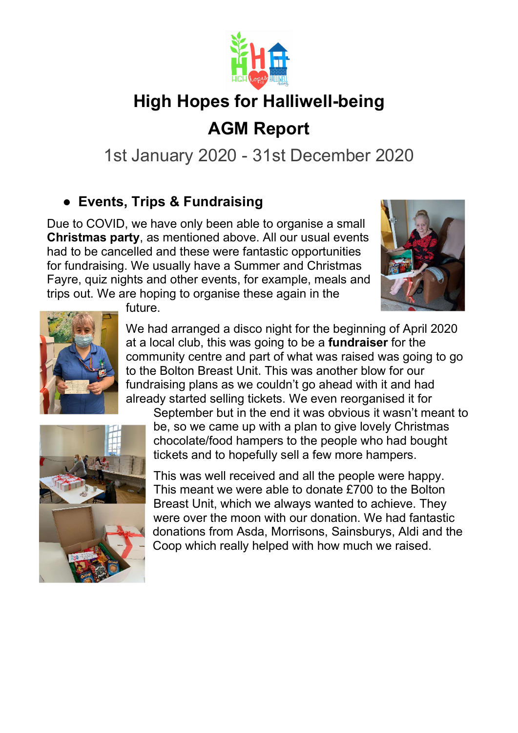

# AGM Report

1st January 2020 - 31st December 2020

### ● Events, Trips & Fundraising

Due to COVID, we have only been able to organise a small Christmas party, as mentioned above. All our usual events had to be cancelled and these were fantastic opportunities for fundraising. We usually have a Summer and Christmas Fayre, quiz nights and other events, for example, meals and trips out. We are hoping to organise these again in the





future.

We had arranged a disco night for the beginning of April 2020 at a local club, this was going to be a fundraiser for the community centre and part of what was raised was going to go to the Bolton Breast Unit. This was another blow for our fundraising plans as we couldn't go ahead with it and had already started selling tickets. We even reorganised it for



September but in the end it was obvious it wasn't meant to be, so we came up with a plan to give lovely Christmas chocolate/food hampers to the people who had bought tickets and to hopefully sell a few more hampers.

This was well received and all the people were happy. This meant we were able to donate £700 to the Bolton Breast Unit, which we always wanted to achieve. They were over the moon with our donation. We had fantastic donations from Asda, Morrisons, Sainsburys, Aldi and the Coop which really helped with how much we raised.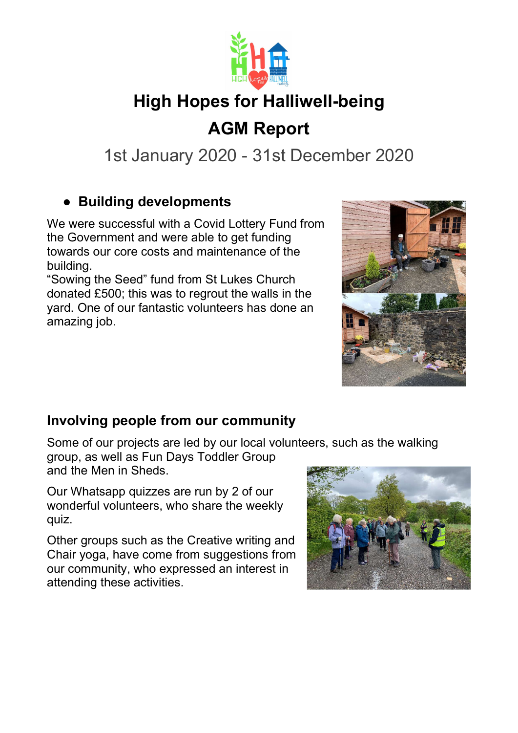

# AGM Report

1st January 2020 - 31st December 2020

### ● Building developments

We were successful with a Covid Lottery Fund from the Government and were able to get funding towards our core costs and maintenance of the building.

"Sowing the Seed" fund from St Lukes Church donated £500; this was to regrout the walls in the yard. One of our fantastic volunteers has done an amazing job.



#### Involving people from our community

Some of our projects are led by our local volunteers, such as the walking

group, as well as Fun Days Toddler Group and the Men in Sheds.

Our Whatsapp quizzes are run by 2 of our wonderful volunteers, who share the weekly quiz.

Other groups such as the Creative writing and Chair yoga, have come from suggestions from our community, who expressed an interest in attending these activities.

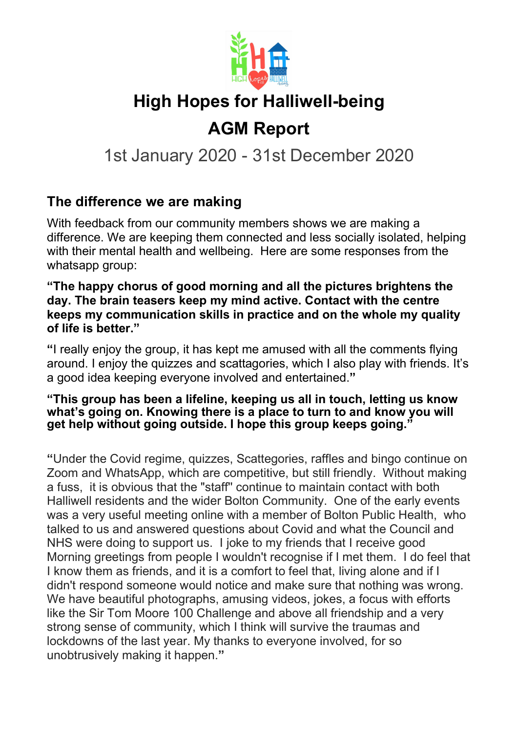

# AGM Report

1st January 2020 - 31st December 2020

#### The difference we are making

With feedback from our community members shows we are making a difference. We are keeping them connected and less socially isolated, helping with their mental health and wellbeing. Here are some responses from the whatsapp group:

"The happy chorus of good morning and all the pictures brightens the day. The brain teasers keep my mind active. Contact with the centre keeps my communication skills in practice and on the whole my quality of life is better."

"I really enjoy the group, it has kept me amused with all the comments flying around. I enjoy the quizzes and scattagories, which I also play with friends. It's a good idea keeping everyone involved and entertained."

#### "This group has been a lifeline, keeping us all in touch, letting us know what's going on. Knowing there is a place to turn to and know you will get help without going outside. I hope this group keeps going."

"Under the Covid regime, quizzes, Scattegories, raffles and bingo continue on Zoom and WhatsApp, which are competitive, but still friendly. Without making a fuss, it is obvious that the "staff'' continue to maintain contact with both Halliwell residents and the wider Bolton Community. One of the early events was a very useful meeting online with a member of Bolton Public Health, who talked to us and answered questions about Covid and what the Council and NHS were doing to support us. I joke to my friends that I receive good Morning greetings from people I wouldn't recognise if I met them. I do feel that I know them as friends, and it is a comfort to feel that, living alone and if I didn't respond someone would notice and make sure that nothing was wrong. We have beautiful photographs, amusing videos, jokes, a focus with efforts like the Sir Tom Moore 100 Challenge and above all friendship and a very strong sense of community, which I think will survive the traumas and lockdowns of the last year. My thanks to everyone involved, for so unobtrusively making it happen."